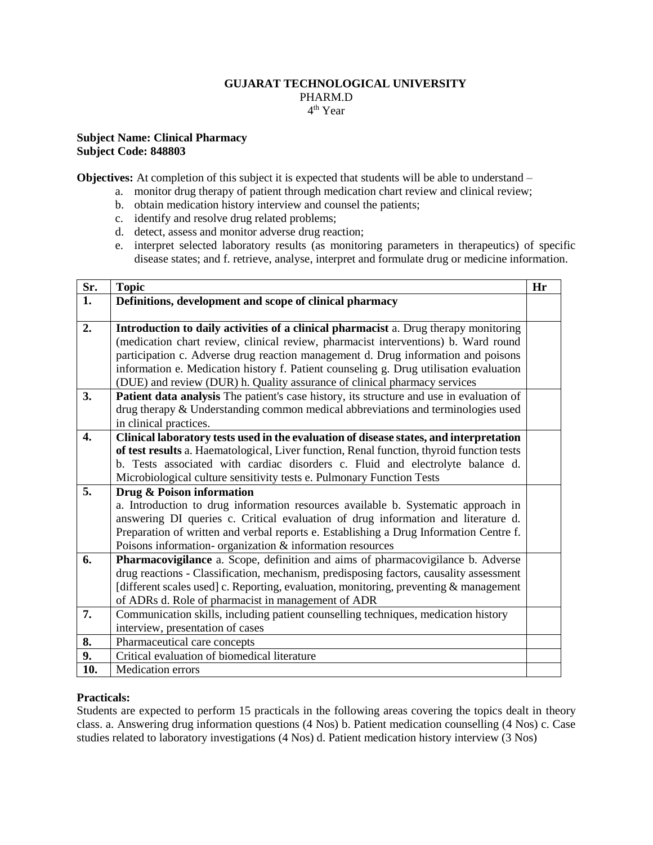# **GUJARAT TECHNOLOGICAL UNIVERSITY** PHARM.D 4 th Year

# **Subject Name: Clinical Pharmacy Subject Code: 848803**

**Objectives:** At completion of this subject it is expected that students will be able to understand –

- a. monitor drug therapy of patient through medication chart review and clinical review;
- b. obtain medication history interview and counsel the patients;
- c. identify and resolve drug related problems;
- d. detect, assess and monitor adverse drug reaction;
- e. interpret selected laboratory results (as monitoring parameters in therapeutics) of specific disease states; and f. retrieve, analyse, interpret and formulate drug or medicine information.

| Sr.          | <b>Topic</b>                                                                              | Hr |
|--------------|-------------------------------------------------------------------------------------------|----|
| 1.           | Definitions, development and scope of clinical pharmacy                                   |    |
|              |                                                                                           |    |
| 2.           | Introduction to daily activities of a clinical pharmacist a. Drug therapy monitoring      |    |
|              | (medication chart review, clinical review, pharmacist interventions) b. Ward round        |    |
|              | participation c. Adverse drug reaction management d. Drug information and poisons         |    |
|              | information e. Medication history f. Patient counseling g. Drug utilisation evaluation    |    |
|              | (DUE) and review (DUR) h. Quality assurance of clinical pharmacy services                 |    |
| 3.           | Patient data analysis The patient's case history, its structure and use in evaluation of  |    |
|              | drug therapy & Understanding common medical abbreviations and terminologies used          |    |
|              | in clinical practices.                                                                    |    |
| $\mathbf{4}$ | Clinical laboratory tests used in the evaluation of disease states, and interpretation    |    |
|              | of test results a. Haematological, Liver function, Renal function, thyroid function tests |    |
|              | b. Tests associated with cardiac disorders c. Fluid and electrolyte balance d.            |    |
|              | Microbiological culture sensitivity tests e. Pulmonary Function Tests                     |    |
| 5.           | Drug & Poison information                                                                 |    |
|              | a. Introduction to drug information resources available b. Systematic approach in         |    |
|              | answering DI queries c. Critical evaluation of drug information and literature d.         |    |
|              | Preparation of written and verbal reports e. Establishing a Drug Information Centre f.    |    |
|              | Poisons information-organization $\&$ information resources                               |    |
| 6.           | Pharmacovigilance a. Scope, definition and aims of pharmacovigilance b. Adverse           |    |
|              | drug reactions - Classification, mechanism, predisposing factors, causality assessment    |    |
|              | [different scales used] c. Reporting, evaluation, monitoring, preventing & management     |    |
|              | of ADRs d. Role of pharmacist in management of ADR                                        |    |
| 7.           | Communication skills, including patient counselling techniques, medication history        |    |
|              | interview, presentation of cases                                                          |    |
| 8.           | Pharmaceutical care concepts                                                              |    |
| 9.           | Critical evaluation of biomedical literature                                              |    |
| 10.          | <b>Medication</b> errors                                                                  |    |

# **Practicals:**

Students are expected to perform 15 practicals in the following areas covering the topics dealt in theory class. a. Answering drug information questions (4 Nos) b. Patient medication counselling (4 Nos) c. Case studies related to laboratory investigations (4 Nos) d. Patient medication history interview (3 Nos)